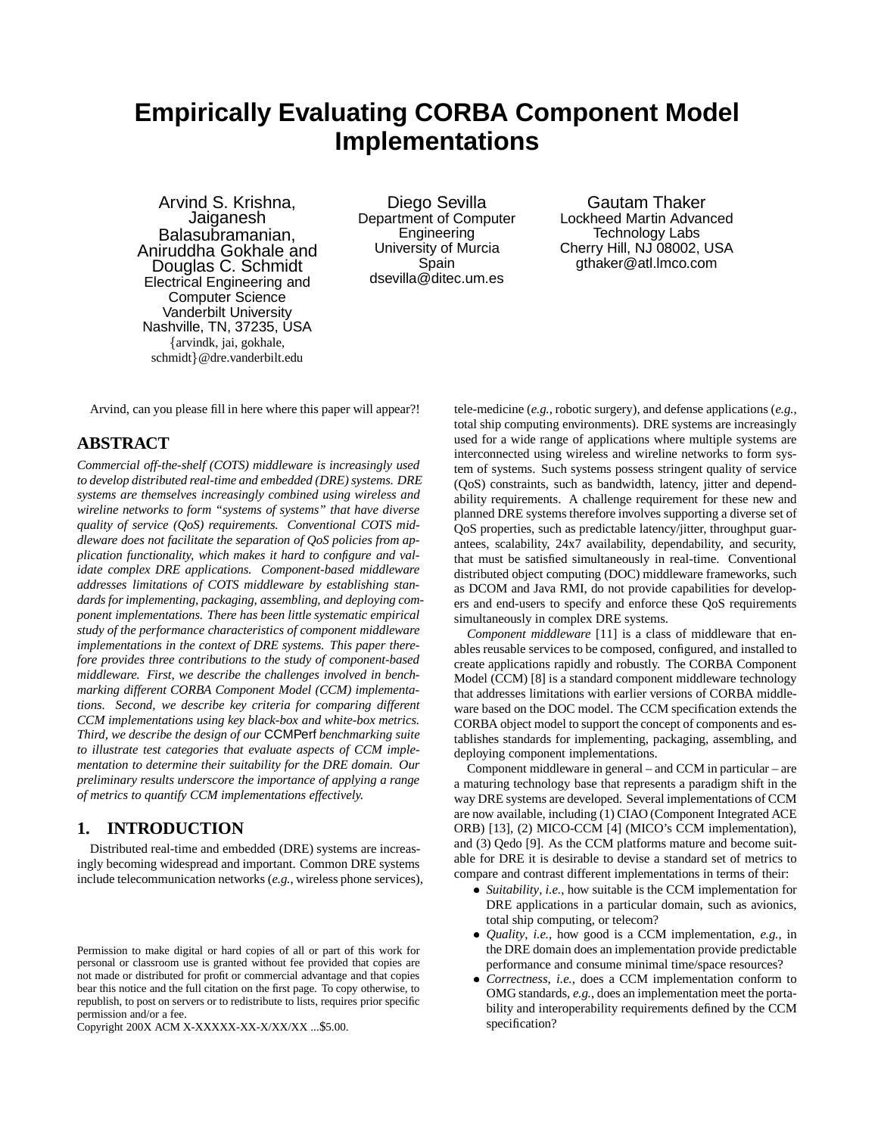# **Empirically Evaluating CORBA Component Model Implementations**

Arvind S. Krishna, Jaiganesh Balasubramanian, Aniruddha Gokhale and Douglas C. Schmidt Electrical Engineering and Computer Science Vanderbilt University Nashville, TN, 37235, USA farvindk, jai, gokhale, schmidt}@dre.vanderbilt.edu

Diego Sevilla Department of Computer Engineering University of Murcia Spain dsevilla@ditec.um.es

Gautam Thaker Lockheed Martin Advanced Technology Labs Cherry Hill, NJ 08002, USA gthaker@atl.lmco.com

Arvind, can you please fill in here where this paper will appear?!

## **ABSTRACT**

*Commercial off-the-shelf (COTS) middleware is increasingly used to develop distributed real-time and embedded (DRE) systems. DRE systems are themselves increasingly combined using wireless and wireline networks to form "systems of systems" that have diverse quality of service (QoS) requirements. Conventional COTS middleware does not facilitate the separation of QoS policies from application functionality, which makes it hard to configure and validate complex DRE applications. Component-based middleware addresses limitations of COTS middleware by establishing standards for implementing, packaging, assembling, and deploying component implementations. There has been little systematic empirical study of the performance characteristics of component middleware implementations in the context of DRE systems. This paper therefore provides three contributions to the study of component-based middleware. First, we describe the challenges involved in benchmarking different CORBA Component Model (CCM) implementations. Second, we describe key criteria for comparing different CCM implementations using key black-box and white-box metrics. Third, we describe the design of our* CCMPerf *benchmarking suite to illustrate test categories that evaluate aspects of CCM implementation to determine their suitability for the DRE domain. Our preliminary results underscore the importance of applying a range of metrics to quantify CCM implementations effectively.*

## **1. INTRODUCTION**

Distributed real-time and embedded (DRE) systems are increasingly becoming widespread and important. Common DRE systems include telecommunication networks (*e.g.*, wireless phone services),

Copyright 200X ACM X-XXXXX-XX-X/XX/XX ...\$5.00.

tele-medicine (*e.g.*, robotic surgery), and defense applications (*e.g.*, total ship computing environments). DRE systems are increasingly used for a wide range of applications where multiple systems are interconnected using wireless and wireline networks to form system of systems. Such systems possess stringent quality of service (QoS) constraints, such as bandwidth, latency, jitter and dependability requirements. A challenge requirement for these new and planned DRE systems therefore involves supporting a diverse set of QoS properties, such as predictable latency/jitter, throughput guarantees, scalability, 24x7 availability, dependability, and security, that must be satisfied simultaneously in real-time. Conventional distributed object computing (DOC) middleware frameworks, such as DCOM and Java RMI, do not provide capabilities for developers and end-users to specify and enforce these QoS requirements simultaneously in complex DRE systems.

*Component middleware* [11] is a class of middleware that enables reusable services to be composed, configured, and installed to create applications rapidly and robustly. The CORBA Component Model (CCM) [8] is a standard component middleware technology that addresses limitations with earlier versions of CORBA middleware based on the DOC model. The CCM specification extends the CORBA object model to support the concept of components and establishes standards for implementing, packaging, assembling, and deploying component implementations.

Component middleware in general – and CCM in particular – are a maturing technology base that represents a paradigm shift in the way DRE systems are developed. Several implementations of CCM are now available, including (1) CIAO (Component Integrated ACE ORB) [13], (2) MICO-CCM [4] (MICO's CCM implementation), and (3) Qedo [9]. As the CCM platforms mature and become suitable for DRE it is desirable to devise a standard set of metrics to compare and contrast different implementations in terms of their:

- *Suitability*, *i.e.*, how suitable is the CCM implementation for DRE applications in a particular domain, such as avionics, total ship computing, or telecom?
- *Quality*, *i.e.*, how good is a CCM implementation, *e.g.*, in the DRE domain does an implementation provide predictable performance and consume minimal time/space resources?
- *Correctness*, *i.e.*, does a CCM implementation conform to OMG standards, *e.g.*, does an implementation meet the portability and interoperability requirements defined by the CCM specification?

Permission to make digital or hard copies of all or part of this work for personal or classroom use is granted without fee provided that copies are not made or distributed for profit or commercial advantage and that copies bear this notice and the full citation on the first page. To copy otherwise, to republish, to post on servers or to redistribute to lists, requires prior specific permission and/or a fee.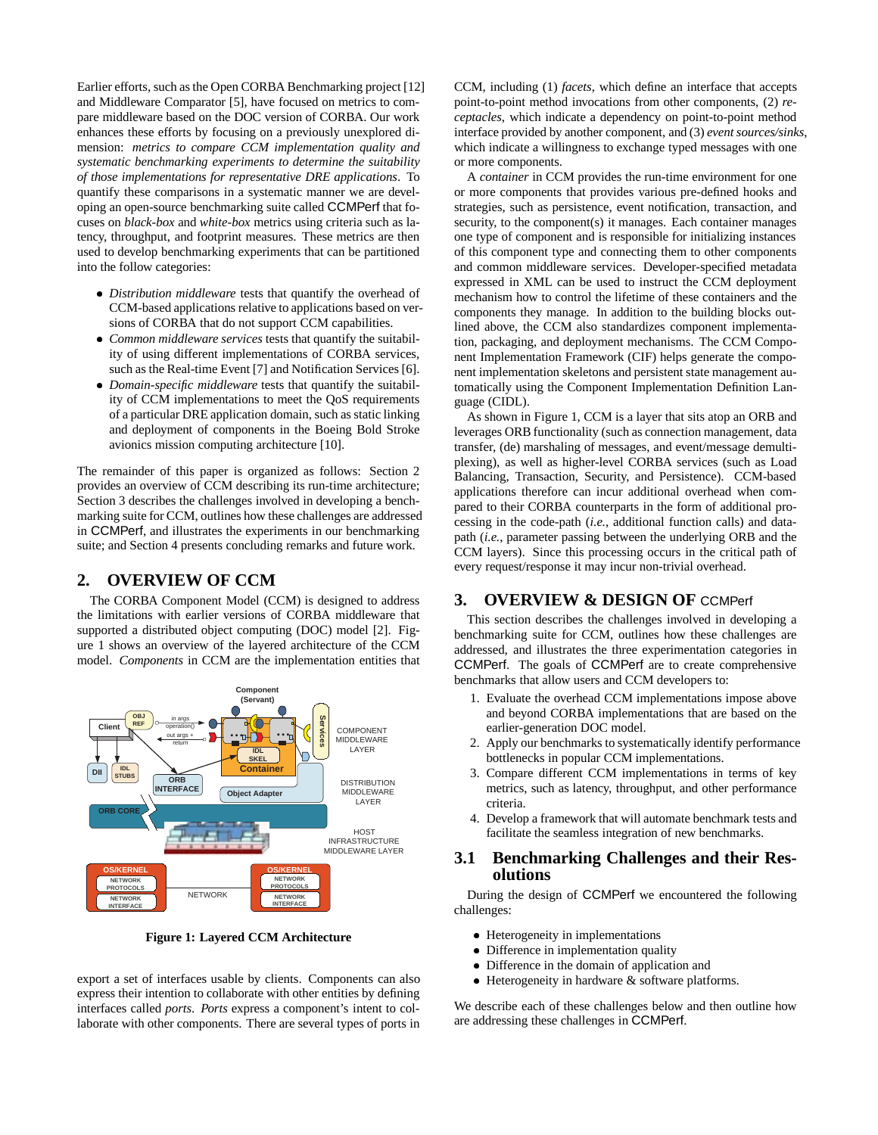Earlier efforts, such as the Open CORBA Benchmarking project [12] and Middleware Comparator [5], have focused on metrics to compare middleware based on the DOC version of CORBA. Our work enhances these efforts by focusing on a previously unexplored dimension: *metrics to compare CCM implementation quality and systematic benchmarking experiments to determine the suitability of those implementations for representative DRE applications*. To quantify these comparisons in a systematic manner we are developing an open-source benchmarking suite called CCMPerf that focuses on *black-box* and *white-box* metrics using criteria such as latency, throughput, and footprint measures. These metrics are then used to develop benchmarking experiments that can be partitioned into the follow categories:

- *Distribution middleware* tests that quantify the overhead of CCM-based applications relative to applications based on versions of CORBA that do not support CCM capabilities.
- *Common middleware services* tests that quantify the suitability of using different implementations of CORBA services, such as the Real-time Event [7] and Notification Services [6].
- *Domain-specific middleware* tests that quantify the suitability of CCM implementations to meet the QoS requirements of a particular DRE application domain, such as static linking and deployment of components in the Boeing Bold Stroke avionics mission computing architecture [10].

The remainder of this paper is organized as follows: Section 2 provides an overview of CCM describing its run-time architecture; Section 3 describes the challenges involved in developing a benchmarking suite for CCM, outlines how these challenges are addressed in CCMPerf, and illustrates the experiments in our benchmarking suite; and Section 4 presents concluding remarks and future work.

# **2. OVERVIEW OF CCM**

The CORBA Component Model (CCM) is designed to address the limitations with earlier versions of CORBA middleware that supported a distributed object computing (DOC) model [2]. Figure 1 shows an overview of the layered architecture of the CCM model. *Components* in CCM are the implementation entities that



**Figure 1: Layered CCM Architecture**

export a set of interfaces usable by clients. Components can also express their intention to collaborate with other entities by defining interfaces called *ports*. *Ports* express a component's intent to collaborate with other components. There are several types of ports in

CCM, including (1) *facets*, which define an interface that accepts point-to-point method invocations from other components, (2) *receptacles*, which indicate a dependency on point-to-point method interface provided by another component, and (3) *event sources/sinks*, which indicate a willingness to exchange typed messages with one or more components.

A *container* in CCM provides the run-time environment for one or more components that provides various pre-defined hooks and strategies, such as persistence, event notification, transaction, and security, to the component(s) it manages. Each container manages one type of component and is responsible for initializing instances of this component type and connecting them to other components and common middleware services. Developer-specified metadata expressed in XML can be used to instruct the CCM deployment mechanism how to control the lifetime of these containers and the components they manage. In addition to the building blocks outlined above, the CCM also standardizes component implementation, packaging, and deployment mechanisms. The CCM Component Implementation Framework (CIF) helps generate the component implementation skeletons and persistent state management automatically using the Component Implementation Definition Language (CIDL).

As shown in Figure 1, CCM is a layer that sits atop an ORB and leverages ORB functionality (such as connection management, data transfer, (de) marshaling of messages, and event/message demultiplexing), as well as higher-level CORBA services (such as Load Balancing, Transaction, Security, and Persistence). CCM-based applications therefore can incur additional overhead when compared to their CORBA counterparts in the form of additional processing in the code-path (*i.e.*, additional function calls) and datapath (*i.e.*, parameter passing between the underlying ORB and the CCM layers). Since this processing occurs in the critical path of every request/response it may incur non-trivial overhead.

# **3. OVERVIEW & DESIGN OF** CCMPerf

This section describes the challenges involved in developing a benchmarking suite for CCM, outlines how these challenges are addressed, and illustrates the three experimentation categories in CCMPerf. The goals of CCMPerf are to create comprehensive benchmarks that allow users and CCM developers to:

- 1. Evaluate the overhead CCM implementations impose above and beyond CORBA implementations that are based on the earlier-generation DOC model.
- 2. Apply our benchmarks to systematically identify performance bottlenecks in popular CCM implementations.
- 3. Compare different CCM implementations in terms of key metrics, such as latency, throughput, and other performance criteria.
- 4. Develop a framework that will automate benchmark tests and facilitate the seamless integration of new benchmarks.

## **3.1 Benchmarking Challenges and their Resolutions**

During the design of CCMPerf we encountered the following challenges:

- Heterogeneity in implementations
- Difference in implementation quality
- Difference in the domain of application and
- Heterogeneity in hardware & software platforms.

We describe each of these challenges below and then outline how are addressing these challenges in CCMPerf.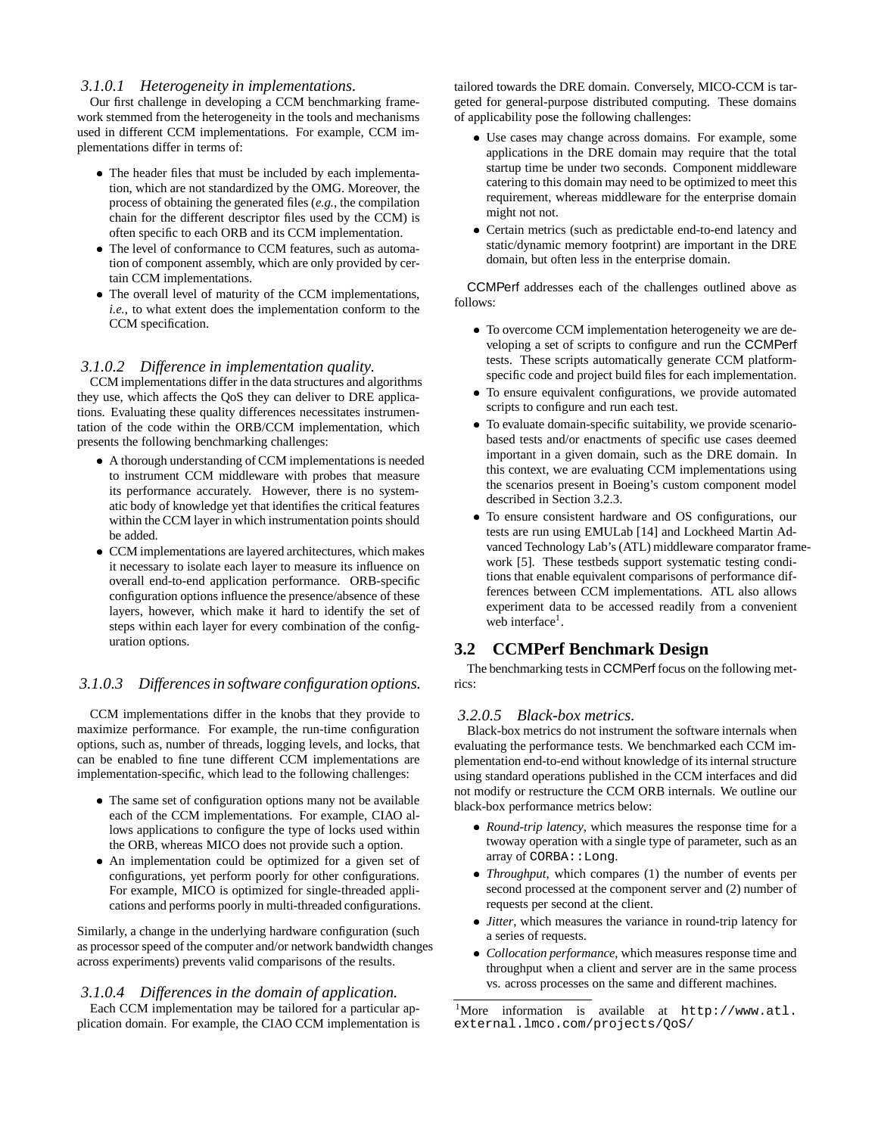### *3.1.0.1 Heterogeneity in implementations.*

Our first challenge in developing a CCM benchmarking framework stemmed from the heterogeneity in the tools and mechanisms used in different CCM implementations. For example, CCM implementations differ in terms of:

- The header files that must be included by each implementation, which are not standardized by the OMG. Moreover, the process of obtaining the generated files (*e.g.*, the compilation chain for the different descriptor files used by the CCM) is often specific to each ORB and its CCM implementation.
- The level of conformance to CCM features, such as automation of component assembly, which are only provided by certain CCM implementations.
- The overall level of maturity of the CCM implementations, *i.e.*, to what extent does the implementation conform to the CCM specification.

#### *3.1.0.2 Difference in implementation quality.*

CCM implementations differ in the data structures and algorithms they use, which affects the QoS they can deliver to DRE applications. Evaluating these quality differences necessitates instrumentation of the code within the ORB/CCM implementation, which presents the following benchmarking challenges:

- A thorough understanding of CCM implementations is needed to instrument CCM middleware with probes that measure its performance accurately. However, there is no systematic body of knowledge yet that identifies the critical features within the CCM layer in which instrumentation points should be added.
- CCM implementations are layered architectures, which makes it necessary to isolate each layer to measure its influence on overall end-to-end application performance. ORB-specific configuration options influence the presence/absence of these layers, however, which make it hard to identify the set of steps within each layer for every combination of the configuration options.

## *3.1.0.3 Differences in software configuration options.*

CCM implementations differ in the knobs that they provide to maximize performance. For example, the run-time configuration options, such as, number of threads, logging levels, and locks, that can be enabled to fine tune different CCM implementations are implementation-specific, which lead to the following challenges:

- The same set of configuration options many not be available each of the CCM implementations. For example, CIAO allows applications to configure the type of locks used within the ORB, whereas MICO does not provide such a option.
- An implementation could be optimized for a given set of configurations, yet perform poorly for other configurations. For example, MICO is optimized for single-threaded applications and performs poorly in multi-threaded configurations.

Similarly, a change in the underlying hardware configuration (such as processor speed of the computer and/or network bandwidth changes across experiments) prevents valid comparisons of the results.

## *3.1.0.4 Differences in the domain of application.* Each CCM implementation may be tailored for a particular application domain. For example, the CIAO CCM implementation is

tailored towards the DRE domain. Conversely, MICO-CCM is targeted for general-purpose distributed computing. These domains of applicability pose the following challenges:

- Use cases may change across domains. For example, some applications in the DRE domain may require that the total startup time be under two seconds. Component middleware catering to this domain may need to be optimized to meet this requirement, whereas middleware for the enterprise domain might not not.
- Certain metrics (such as predictable end-to-end latency and static/dynamic memory footprint) are important in the DRE domain, but often less in the enterprise domain.

CCMPerf addresses each of the challenges outlined above as follows:

- To overcome CCM implementation heterogeneity we are developing a set of scripts to configure and run the CCMPerf tests. These scripts automatically generate CCM platformspecific code and project build files for each implementation.
- To ensure equivalent configurations, we provide automated scripts to configure and run each test.
- To evaluate domain-specific suitability, we provide scenariobased tests and/or enactments of specific use cases deemed important in a given domain, such as the DRE domain. In this context, we are evaluating CCM implementations using the scenarios present in Boeing's custom component model described in Section 3.2.3.
- To ensure consistent hardware and OS configurations, our tests are run using EMULab [14] and Lockheed Martin Advanced Technology Lab's (ATL) middleware comparator framework [5]. These testbeds support systematic testing conditions that enable equivalent comparisons of performance differences between CCM implementations. ATL also allows experiment data to be accessed readily from a convenient web interface<sup>1</sup>.

# **3.2 CCMPerf Benchmark Design**

The benchmarking tests in CCMPerf focus on the following metrics:

#### *3.2.0.5 Black-box metrics.*

Black-box metrics do not instrument the software internals when evaluating the performance tests. We benchmarked each CCM implementation end-to-end without knowledge of its internal structure using standard operations published in the CCM interfaces and did not modify or restructure the CCM ORB internals. We outline our black-box performance metrics below:

- *Round-trip latency*, which measures the response time for a twoway operation with a single type of parameter, such as an array of CORBA: : Long.
- *Throughput*, which compares (1) the number of events per second processed at the component server and (2) number of requests per second at the client.
- *Jitter*, which measures the variance in round-trip latency for a series of requests.
- *Collocation performance*, which measures response time and throughput when a client and server are in the same process vs. across processes on the same and different machines.

<sup>&</sup>lt;sup>1</sup>More information is available at http://www.atl. external.lmco.com/projects/QoS/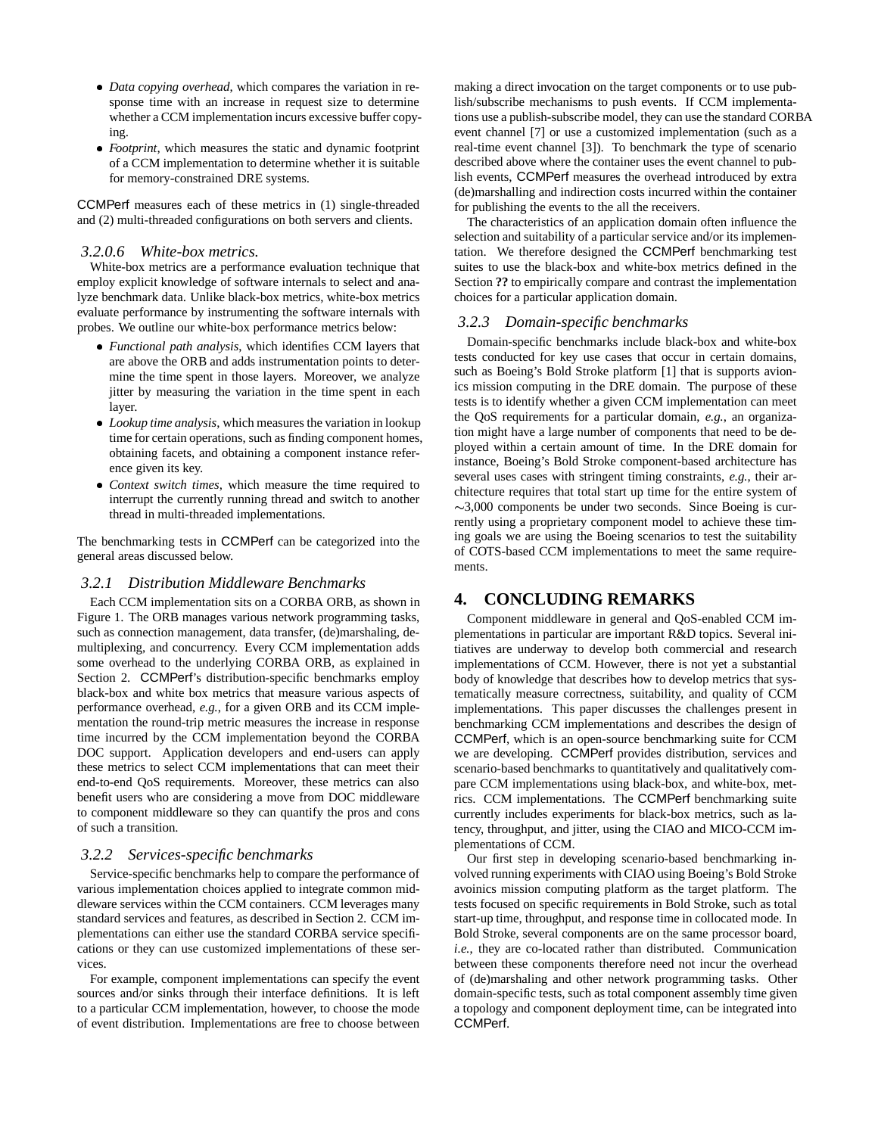- *Data copying overhead*, which compares the variation in response time with an increase in request size to determine whether a CCM implementation incurs excessive buffer copying.
- *Footprint*, which measures the static and dynamic footprint of a CCM implementation to determine whether it is suitable for memory-constrained DRE systems.

CCMPerf measures each of these metrics in (1) single-threaded and (2) multi-threaded configurations on both servers and clients.

#### *3.2.0.6 White-box metrics.*

White-box metrics are a performance evaluation technique that employ explicit knowledge of software internals to select and analyze benchmark data. Unlike black-box metrics, white-box metrics evaluate performance by instrumenting the software internals with probes. We outline our white-box performance metrics below:

- *Functional path analysis*, which identifies CCM layers that are above the ORB and adds instrumentation points to determine the time spent in those layers. Moreover, we analyze jitter by measuring the variation in the time spent in each layer.
- *Lookup time analysis*, which measures the variation in lookup time for certain operations, such as finding component homes, obtaining facets, and obtaining a component instance reference given its key.
- *Context switch times*, which measure the time required to interrupt the currently running thread and switch to another thread in multi-threaded implementations.

The benchmarking tests in CCMPerf can be categorized into the general areas discussed below.

## *3.2.1 Distribution Middleware Benchmarks*

Each CCM implementation sits on a CORBA ORB, as shown in Figure 1. The ORB manages various network programming tasks, such as connection management, data transfer, (de)marshaling, demultiplexing, and concurrency. Every CCM implementation adds some overhead to the underlying CORBA ORB, as explained in Section 2. CCMPerf's distribution-specific benchmarks employ black-box and white box metrics that measure various aspects of performance overhead, *e.g.*, for a given ORB and its CCM implementation the round-trip metric measures the increase in response time incurred by the CCM implementation beyond the CORBA DOC support. Application developers and end-users can apply these metrics to select CCM implementations that can meet their end-to-end QoS requirements. Moreover, these metrics can also benefit users who are considering a move from DOC middleware to component middleware so they can quantify the pros and cons of such a transition.

#### *3.2.2 Services-specific benchmarks*

Service-specific benchmarks help to compare the performance of various implementation choices applied to integrate common middleware services within the CCM containers. CCM leverages many standard services and features, as described in Section 2. CCM implementations can either use the standard CORBA service specifications or they can use customized implementations of these services.

For example, component implementations can specify the event sources and/or sinks through their interface definitions. It is left to a particular CCM implementation, however, to choose the mode of event distribution. Implementations are free to choose between

making a direct invocation on the target components or to use publish/subscribe mechanisms to push events. If CCM implementations use a publish-subscribe model, they can use the standard CORBA event channel [7] or use a customized implementation (such as a real-time event channel [3]). To benchmark the type of scenario described above where the container uses the event channel to publish events, CCMPerf measures the overhead introduced by extra (de)marshalling and indirection costs incurred within the container for publishing the events to the all the receivers.

The characteristics of an application domain often influence the selection and suitability of a particular service and/or its implementation. We therefore designed the CCMPerf benchmarking test suites to use the black-box and white-box metrics defined in the Section **??** to empirically compare and contrast the implementation choices for a particular application domain.

#### *3.2.3 Domain-specific benchmarks*

Domain-specific benchmarks include black-box and white-box tests conducted for key use cases that occur in certain domains, such as Boeing's Bold Stroke platform [1] that is supports avionics mission computing in the DRE domain. The purpose of these tests is to identify whether a given CCM implementation can meet the QoS requirements for a particular domain, *e.g.*, an organization might have a large number of components that need to be deployed within a certain amount of time. In the DRE domain for instance, Boeing's Bold Stroke component-based architecture has several uses cases with stringent timing constraints, *e.g.*, their architecture requires that total start up time for the entire system of  $\sim$ 3,000 components be under two seconds. Since Boeing is currently using a proprietary component model to achieve these timing goals we are using the Boeing scenarios to test the suitability of COTS-based CCM implementations to meet the same requirements.

# **4. CONCLUDING REMARKS**

Component middleware in general and QoS-enabled CCM implementations in particular are important R&D topics. Several initiatives are underway to develop both commercial and research implementations of CCM. However, there is not yet a substantial body of knowledge that describes how to develop metrics that systematically measure correctness, suitability, and quality of CCM implementations. This paper discusses the challenges present in benchmarking CCM implementations and describes the design of CCMPerf, which is an open-source benchmarking suite for CCM we are developing. CCMPerf provides distribution, services and scenario-based benchmarks to quantitatively and qualitatively compare CCM implementations using black-box, and white-box, metrics. CCM implementations. The CCMPerf benchmarking suite currently includes experiments for black-box metrics, such as latency, throughput, and jitter, using the CIAO and MICO-CCM implementations of CCM.

Our first step in developing scenario-based benchmarking involved running experiments with CIAO using Boeing's Bold Stroke avoinics mission computing platform as the target platform. The tests focused on specific requirements in Bold Stroke, such as total start-up time, throughput, and response time in collocated mode. In Bold Stroke, several components are on the same processor board, *i.e.*, they are co-located rather than distributed. Communication between these components therefore need not incur the overhead of (de)marshaling and other network programming tasks. Other domain-specific tests, such as total component assembly time given a topology and component deployment time, can be integrated into CCMPerf.